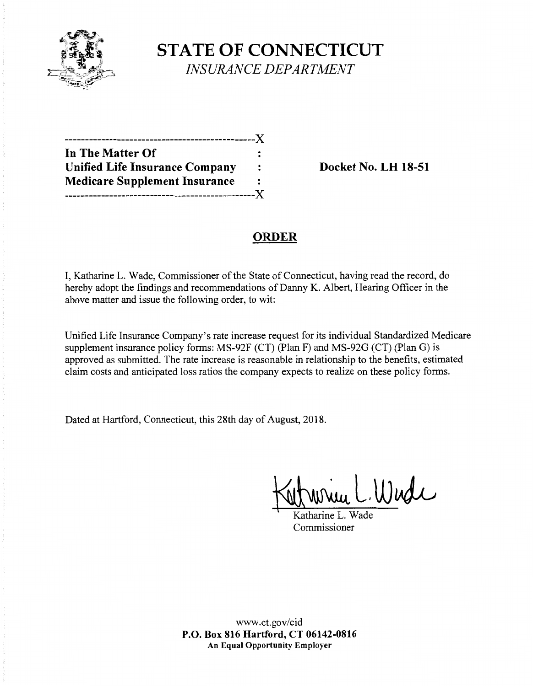

**STATE OF CONNECTICUT** *INSURANCE DEPARTMENT* 

| In The Matter Of                      |   |
|---------------------------------------|---|
| <b>Unified Life Insurance Company</b> | : |
| <b>Medicare Supplement Insurance</b>  | ∶ |
|                                       |   |

**Docket No. LH 18-51** 

# **ORDER**

I, Katharine L. Wade, Commissioner of the State of Connecticut, having read the record, do hereby adopt the findings and recommendations of Danny K. Albert, Hearing Officer in the above matter and issue the following order, to wit:

Unified Life Insurance Company's rate increase request for its individual Standardized Medicare supplement insurance policy forms: MS-92F (CT) (Plan F) and MS-92G (CT) (Plan G) is approved as submitted. The rate increase is reasonable in relationship to the benefits, estimated claim costs and anticipated loss ratios the company expects to realize on these policy forms.

Dated at Hartford, Connecticut, this 28th day of August, 2018.

 $W$ udi

Katharine L. Wade Commissioner

www.ct.gov/cid **P.O. Box 816 Hartford, CT 06142-0816 An Equal Opportunity Employer**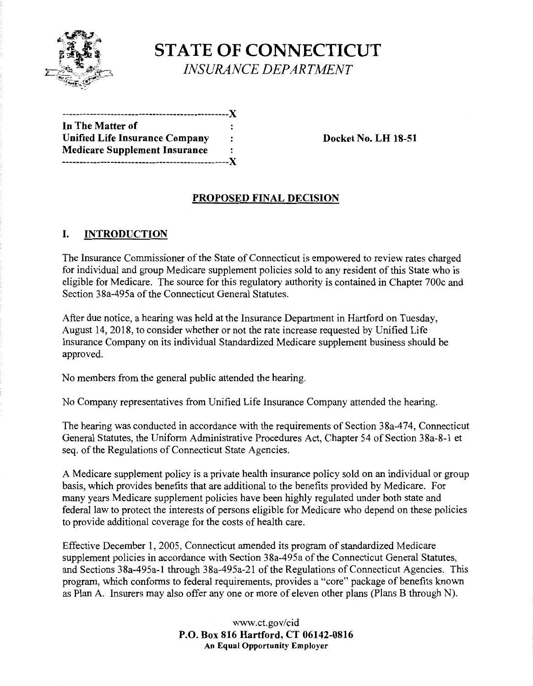

**STATE OF CONNECTICUT**  *INSURANCE DEPARTMENT* 

------------------------------------------------)( In **The Matter of**  Unified Life Insurance Company : Docket No. LH 18-51 **Medicare Supplement Insurance**  ------------------------------------------------)(

# **PROPOSED FINAL DECISION**

# I. **INTRODUCTION**

The Insurance Commissioner of the State of Connecticut is empowered to review rates charged for individual and group Medicare supplement policies sold to any resident of this State who is eligible for Medicare. The source for this regulatory authority is contained in Chapter 700c and Section 38a-495a of the Connecticut General Statutes.

After due notice, a hearing was held at the Insurance Department in Hartford on Tuesday, August 14, 2018, to consider whether or not the rate increase requested by Unified Life Insurance Company on its individual Standardized Medicare supplement business should be approved.

No members from the general public attended the hearing.

No Company representatives from Unified Life Insurance Company attended the hearing.

The hearing was conducted in accordance with the requirements of Section 38a-474, Connecticut General Statutes, the Uniform Administrative Procedures Act, Chapter 54 of Section 38a-8-1 et seq. of the Regulations of Connecticut State Agencies.

A Medicare supplement policy is a private health insurance policy sold on an individual or group basis, which provides benefits that are additional to the benefits provided by Medicare. For many years Medicare supplement policies have been highly regulated under both state and federal law to protect the interests of persons eligible for Medicare who depend on these policies to provide additional coverage for the costs of health care.

Effective December 1, 2005, Connecticut amended its program of standardized Medicare supplement policies in accordance with Section 38a-495a of the Connecticut General Statutes, and Sections 38a-495a-1 through 38a-495a-21 of the Regulations of Connecticut Agencies. This program, which conforms to federal requirements, provides a "core" package of benefits known as Plan A. Insurers may also offer any one or more of eleven other plans (Plans B through N).

> www.ct.gov/cid **P.O. Box 816 Hartford, CT 06142-0816 An Equal Opportunity Employer**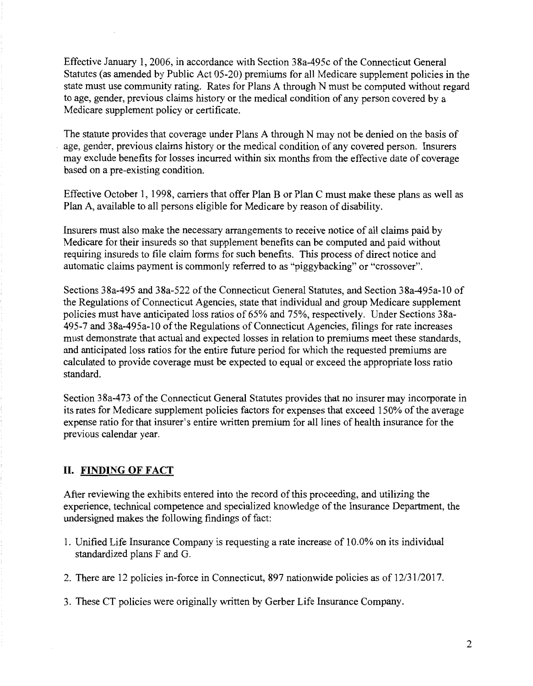Effective January 1, 2006, in accordance with Section 38a-495c of the Connecticut General Statutes (as amended by Public Act 05-20) premiums for all Medicare supplement policies in the state must use community rating. Rates for Plans A through N must be computed without regard to age, gender, previous claims history or the medical condition of any person covered by a Medicare supplement policy or certificate.

The statute provides that coverage under Plans A through N may not be denied on the basis of age, gender, previous claims history or the medical condition of any covered person. Insurers may exclude benefits for losses incurred within six months from the effective date of coverage based on a pre-existing condition.

Effective October 1, 1998, carriers that offer Plan B or Plan C must make these plans as well as Plan A, available to all persons eligible for Medicare by reason of disability.

Insurers must also make the necessary arrangements to receive notice of all claims paid by Medicare for their insureds so that supplement benefits can be computed and paid without requiring insureds to file claim forms for such benefits. This process of direct notice and automatic claims payment is commonly referred to as "piggybacking" or "crossover".

Sections 38a-495 and 38a-522 of the Connecticut General Statutes, and Section 38a-495a-10 of the Regulations of Connecticut Agencies, state that individual and group Medicare supplement policies must have anticipated loss ratios of 65% and 75%, respectively. Under Sections 38a- $495-7$  and  $38a-495a-10$  of the Regulations of Connecticut Agencies, filings for rate increases must demonstrate that actual and expected losses in relation to premiums meet these standards, and anticipated loss ratios for the entire future period for which the requested premiums are calculated to provide coverage must be expected to equal or exceed the appropriate loss ratio standard.

Section 38a-473 of the Connecticut General Statutes provides that no insurer may incorporate in its rates for Medicare supplement policies factors for expenses that exceed 150% of the average expense ratio for that insurer's entire written premium for all lines of health insurance for the previous calendar year.

## **II. FINDING OF FACT**

After reviewing the exhibits entered into the record of this proceeding, and utilizing the experience, technical competence and specialized knowledge of the Insurance Department, the undersigned makes the following findings of fact:

- 1. Unified Life Insurance Company is requesting a rate increase of 10.0% on its individual standardized plans F and G.
- 2. There are 12 policies in-force in Connecticut, 897 nationwide policies as of 12/31/2017.
- 3. These CT policies were originally written by Gerber Life Insurance Company.